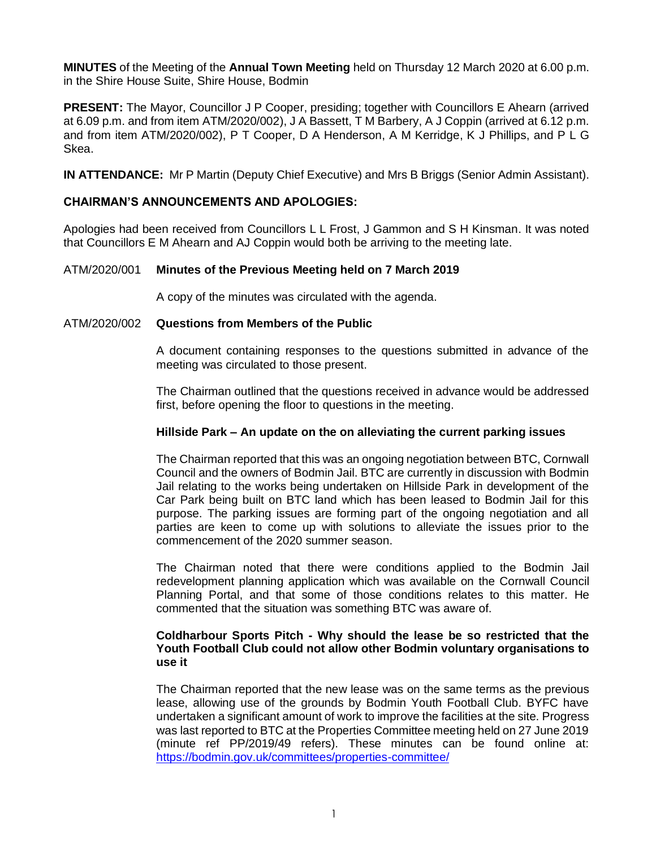**MINUTES** of the Meeting of the **Annual Town Meeting** held on Thursday 12 March 2020 at 6.00 p.m. in the Shire House Suite, Shire House, Bodmin

**PRESENT:** The Mayor, Councillor J P Cooper, presiding; together with Councillors E Ahearn (arrived at 6.09 p.m. and from item ATM/2020/002), J A Bassett, T M Barbery, A J Coppin (arrived at 6.12 p.m. and from item ATM/2020/002), P T Cooper, D A Henderson, A M Kerridge, K J Phillips, and P L G Skea.

**IN ATTENDANCE:** Mr P Martin (Deputy Chief Executive) and Mrs B Briggs (Senior Admin Assistant).

# **CHAIRMAN'S ANNOUNCEMENTS AND APOLOGIES:**

Apologies had been received from Councillors L L Frost, J Gammon and S H Kinsman. It was noted that Councillors E M Ahearn and AJ Coppin would both be arriving to the meeting late.

# ATM/2020/001 **Minutes of the Previous Meeting held on 7 March 2019**

A copy of the minutes was circulated with the agenda.

### ATM/2020/002 **Questions from Members of the Public**

A document containing responses to the questions submitted in advance of the meeting was circulated to those present.

The Chairman outlined that the questions received in advance would be addressed first, before opening the floor to questions in the meeting.

### **Hillside Park – An update on the on alleviating the current parking issues**

The Chairman reported that this was an ongoing negotiation between BTC, Cornwall Council and the owners of Bodmin Jail. BTC are currently in discussion with Bodmin Jail relating to the works being undertaken on Hillside Park in development of the Car Park being built on BTC land which has been leased to Bodmin Jail for this purpose. The parking issues are forming part of the ongoing negotiation and all parties are keen to come up with solutions to alleviate the issues prior to the commencement of the 2020 summer season.

The Chairman noted that there were conditions applied to the Bodmin Jail redevelopment planning application which was available on the Cornwall Council Planning Portal, and that some of those conditions relates to this matter. He commented that the situation was something BTC was aware of.

## **Coldharbour Sports Pitch - Why should the lease be so restricted that the Youth Football Club could not allow other Bodmin voluntary organisations to use it**

The Chairman reported that the new lease was on the same terms as the previous lease, allowing use of the grounds by Bodmin Youth Football Club. BYFC have undertaken a significant amount of work to improve the facilities at the site. Progress was last reported to BTC at the Properties Committee meeting held on 27 June 2019 (minute ref PP/2019/49 refers). These minutes can be found online at: <https://bodmin.gov.uk/committees/properties-committee/>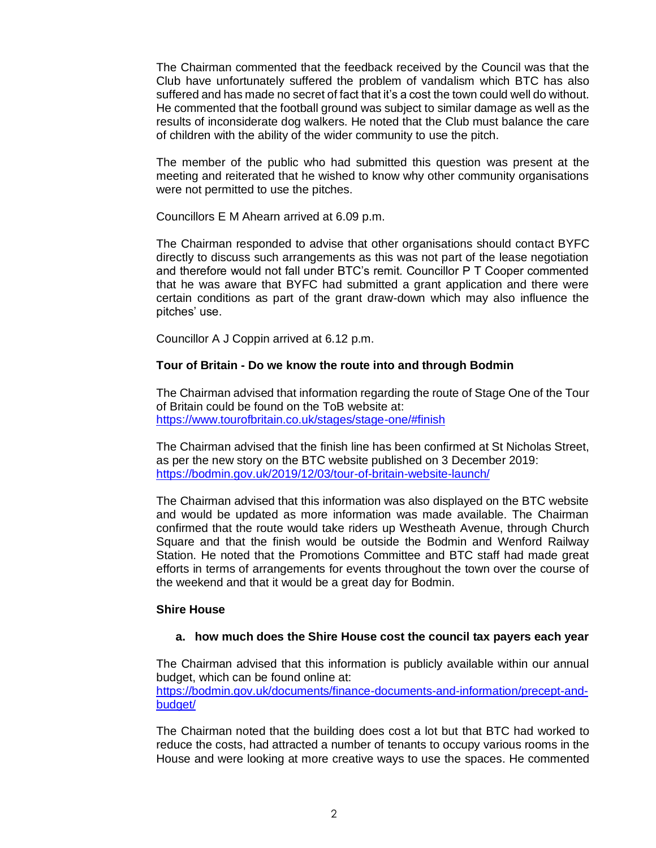The Chairman commented that the feedback received by the Council was that the Club have unfortunately suffered the problem of vandalism which BTC has also suffered and has made no secret of fact that it's a cost the town could well do without. He commented that the football ground was subject to similar damage as well as the results of inconsiderate dog walkers. He noted that the Club must balance the care of children with the ability of the wider community to use the pitch.

The member of the public who had submitted this question was present at the meeting and reiterated that he wished to know why other community organisations were not permitted to use the pitches.

Councillors E M Ahearn arrived at 6.09 p.m.

The Chairman responded to advise that other organisations should contact BYFC directly to discuss such arrangements as this was not part of the lease negotiation and therefore would not fall under BTC's remit. Councillor P T Cooper commented that he was aware that BYFC had submitted a grant application and there were certain conditions as part of the grant draw-down which may also influence the pitches' use.

Councillor A J Coppin arrived at 6.12 p.m.

# **Tour of Britain - Do we know the route into and through Bodmin**

The Chairman advised that information regarding the route of Stage One of the Tour of Britain could be found on the ToB website at: <https://www.tourofbritain.co.uk/stages/stage-one/#finish>

The Chairman advised that the finish line has been confirmed at St Nicholas Street, as per the new story on the BTC website published on 3 December 2019: <https://bodmin.gov.uk/2019/12/03/tour-of-britain-website-launch/>

The Chairman advised that this information was also displayed on the BTC website and would be updated as more information was made available. The Chairman confirmed that the route would take riders up Westheath Avenue, through Church Square and that the finish would be outside the Bodmin and Wenford Railway Station. He noted that the Promotions Committee and BTC staff had made great efforts in terms of arrangements for events throughout the town over the course of the weekend and that it would be a great day for Bodmin.

### **Shire House**

### **a. how much does the Shire House cost the council tax payers each year**

The Chairman advised that this information is publicly available within our annual budget, which can be found online at:

[https://bodmin.gov.uk/documents/finance-documents-and-information/precept-and](https://bodmin.gov.uk/documents/finance-documents-and-information/precept-and-budget/)[budget/](https://bodmin.gov.uk/documents/finance-documents-and-information/precept-and-budget/)

The Chairman noted that the building does cost a lot but that BTC had worked to reduce the costs, had attracted a number of tenants to occupy various rooms in the House and were looking at more creative ways to use the spaces. He commented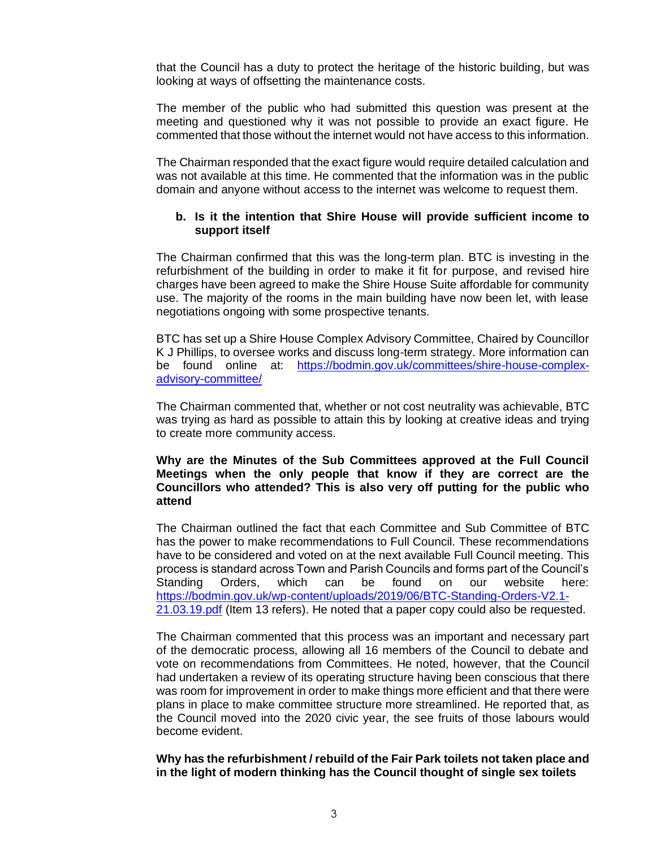that the Council has a duty to protect the heritage of the historic building, but was looking at ways of offsetting the maintenance costs.

The member of the public who had submitted this question was present at the meeting and questioned why it was not possible to provide an exact figure. He commented that those without the internet would not have access to this information.

The Chairman responded that the exact figure would require detailed calculation and was not available at this time. He commented that the information was in the public domain and anyone without access to the internet was welcome to request them.

# **b. Is it the intention that Shire House will provide sufficient income to support itself**

The Chairman confirmed that this was the long-term plan. BTC is investing in the refurbishment of the building in order to make it fit for purpose, and revised hire charges have been agreed to make the Shire House Suite affordable for community use. The majority of the rooms in the main building have now been let, with lease negotiations ongoing with some prospective tenants.

BTC has set up a Shire House Complex Advisory Committee, Chaired by Councillor K J Phillips, to oversee works and discuss long-term strategy. More information can be found online at: [https://bodmin.gov.uk/committees/shire-house-complex](https://bodmin.gov.uk/committees/shire-house-complex-advisory-committee/)[advisory-committee/](https://bodmin.gov.uk/committees/shire-house-complex-advisory-committee/)

The Chairman commented that, whether or not cost neutrality was achievable, BTC was trying as hard as possible to attain this by looking at creative ideas and trying to create more community access.

**Why are the Minutes of the Sub Committees approved at the Full Council Meetings when the only people that know if they are correct are the Councillors who attended? This is also very off putting for the public who attend**

The Chairman outlined the fact that each Committee and Sub Committee of BTC has the power to make recommendations to Full Council. These recommendations have to be considered and voted on at the next available Full Council meeting. This process is standard across Town and Parish Councils and forms part of the Council's Standing Orders, which can be found on our website here: [https://bodmin.gov.uk/wp-content/uploads/2019/06/BTC-Standing-Orders-V2.1-](https://bodmin.gov.uk/wp-content/uploads/2019/06/BTC-Standing-Orders-V2.1-21.03.19.pdf) [21.03.19.pdf](https://bodmin.gov.uk/wp-content/uploads/2019/06/BTC-Standing-Orders-V2.1-21.03.19.pdf) (Item 13 refers). He noted that a paper copy could also be requested.

The Chairman commented that this process was an important and necessary part of the democratic process, allowing all 16 members of the Council to debate and vote on recommendations from Committees. He noted, however, that the Council had undertaken a review of its operating structure having been conscious that there was room for improvement in order to make things more efficient and that there were plans in place to make committee structure more streamlined. He reported that, as the Council moved into the 2020 civic year, the see fruits of those labours would become evident.

**Why has the refurbishment / rebuild of the Fair Park toilets not taken place and in the light of modern thinking has the Council thought of single sex toilets**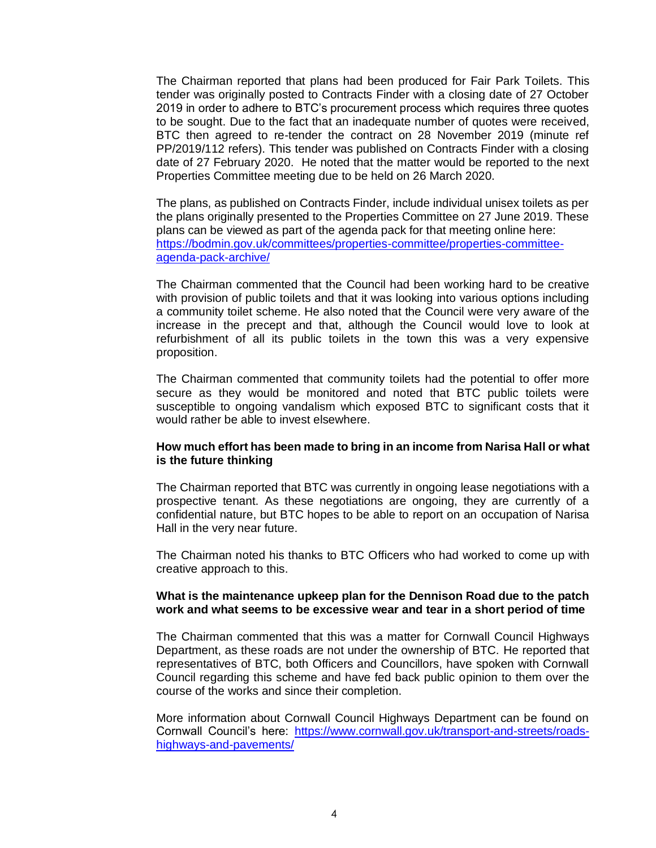The Chairman reported that plans had been produced for Fair Park Toilets. This tender was originally posted to Contracts Finder with a closing date of 27 October 2019 in order to adhere to BTC's procurement process which requires three quotes to be sought. Due to the fact that an inadequate number of quotes were received, BTC then agreed to re-tender the contract on 28 November 2019 (minute ref PP/2019/112 refers). This tender was published on Contracts Finder with a closing date of 27 February 2020. He noted that the matter would be reported to the next Properties Committee meeting due to be held on 26 March 2020.

The plans, as published on Contracts Finder, include individual unisex toilets as per the plans originally presented to the Properties Committee on 27 June 2019. These plans can be viewed as part of the agenda pack for that meeting online here: [https://bodmin.gov.uk/committees/properties-committee/properties-committee](https://bodmin.gov.uk/committees/properties-committee/properties-committee-agenda-pack-archive/)[agenda-pack-archive/](https://bodmin.gov.uk/committees/properties-committee/properties-committee-agenda-pack-archive/)

The Chairman commented that the Council had been working hard to be creative with provision of public toilets and that it was looking into various options including a community toilet scheme. He also noted that the Council were very aware of the increase in the precept and that, although the Council would love to look at refurbishment of all its public toilets in the town this was a very expensive proposition.

The Chairman commented that community toilets had the potential to offer more secure as they would be monitored and noted that BTC public toilets were susceptible to ongoing vandalism which exposed BTC to significant costs that it would rather be able to invest elsewhere.

### **How much effort has been made to bring in an income from Narisa Hall or what is the future thinking**

The Chairman reported that BTC was currently in ongoing lease negotiations with a prospective tenant. As these negotiations are ongoing, they are currently of a confidential nature, but BTC hopes to be able to report on an occupation of Narisa Hall in the very near future.

The Chairman noted his thanks to BTC Officers who had worked to come up with creative approach to this.

### **What is the maintenance upkeep plan for the Dennison Road due to the patch work and what seems to be excessive wear and tear in a short period of time**

The Chairman commented that this was a matter for Cornwall Council Highways Department, as these roads are not under the ownership of BTC. He reported that representatives of BTC, both Officers and Councillors, have spoken with Cornwall Council regarding this scheme and have fed back public opinion to them over the course of the works and since their completion.

More information about Cornwall Council Highways Department can be found on Cornwall Council's here: [https://www.cornwall.gov.uk/transport-and-streets/roads](https://www.cornwall.gov.uk/transport-and-streets/roads-highways-and-pavements/)[highways-and-pavements/](https://www.cornwall.gov.uk/transport-and-streets/roads-highways-and-pavements/)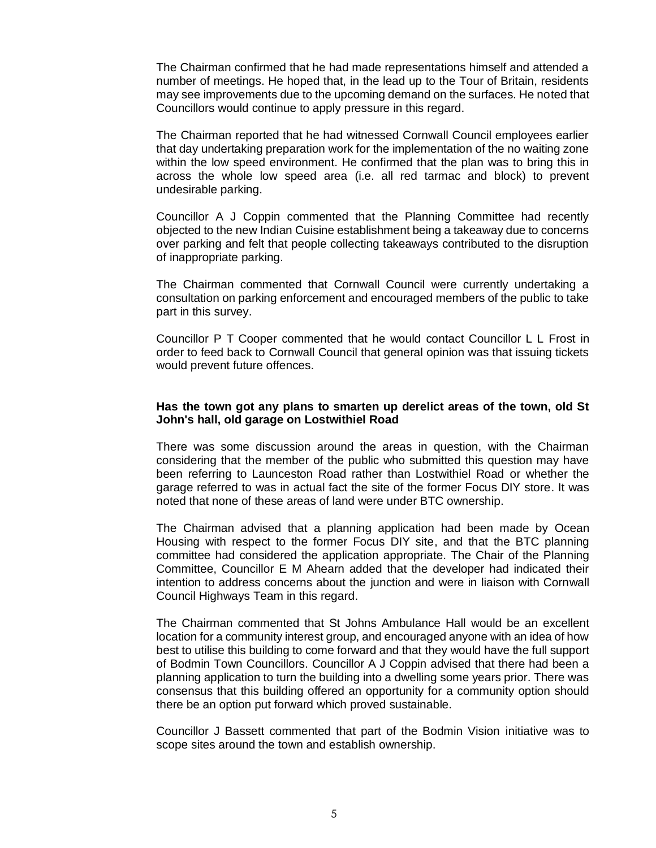The Chairman confirmed that he had made representations himself and attended a number of meetings. He hoped that, in the lead up to the Tour of Britain, residents may see improvements due to the upcoming demand on the surfaces. He noted that Councillors would continue to apply pressure in this regard.

The Chairman reported that he had witnessed Cornwall Council employees earlier that day undertaking preparation work for the implementation of the no waiting zone within the low speed environment. He confirmed that the plan was to bring this in across the whole low speed area (i.e. all red tarmac and block) to prevent undesirable parking.

Councillor A J Coppin commented that the Planning Committee had recently objected to the new Indian Cuisine establishment being a takeaway due to concerns over parking and felt that people collecting takeaways contributed to the disruption of inappropriate parking.

The Chairman commented that Cornwall Council were currently undertaking a consultation on parking enforcement and encouraged members of the public to take part in this survey.

Councillor P T Cooper commented that he would contact Councillor L L Frost in order to feed back to Cornwall Council that general opinion was that issuing tickets would prevent future offences.

### **Has the town got any plans to smarten up derelict areas of the town, old St John's hall, old garage on Lostwithiel Road**

There was some discussion around the areas in question, with the Chairman considering that the member of the public who submitted this question may have been referring to Launceston Road rather than Lostwithiel Road or whether the garage referred to was in actual fact the site of the former Focus DIY store. It was noted that none of these areas of land were under BTC ownership.

The Chairman advised that a planning application had been made by Ocean Housing with respect to the former Focus DIY site, and that the BTC planning committee had considered the application appropriate. The Chair of the Planning Committee, Councillor E M Ahearn added that the developer had indicated their intention to address concerns about the junction and were in liaison with Cornwall Council Highways Team in this regard.

The Chairman commented that St Johns Ambulance Hall would be an excellent location for a community interest group, and encouraged anyone with an idea of how best to utilise this building to come forward and that they would have the full support of Bodmin Town Councillors. Councillor A J Coppin advised that there had been a planning application to turn the building into a dwelling some years prior. There was consensus that this building offered an opportunity for a community option should there be an option put forward which proved sustainable.

Councillor J Bassett commented that part of the Bodmin Vision initiative was to scope sites around the town and establish ownership.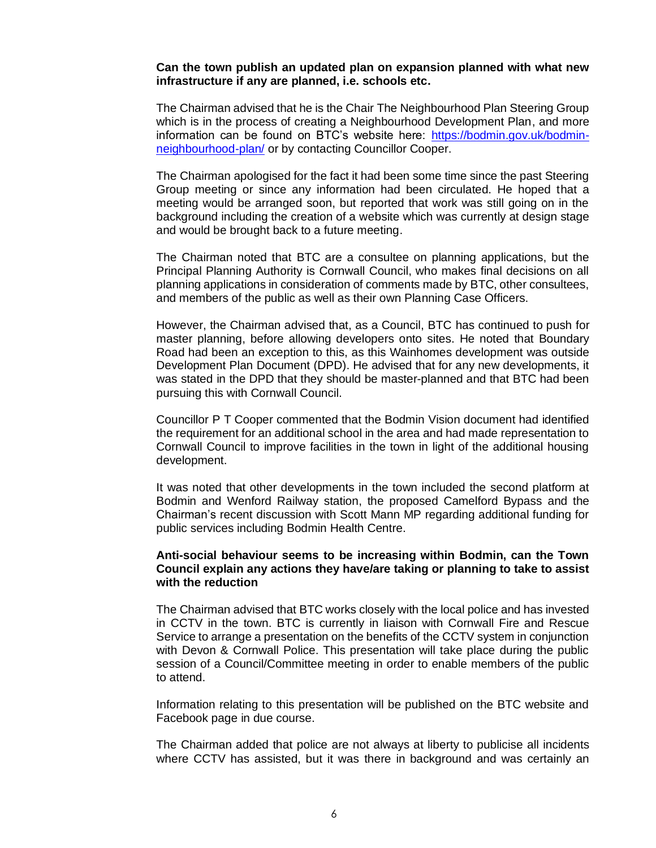#### **Can the town publish an updated plan on expansion planned with what new infrastructure if any are planned, i.e. schools etc.**

The Chairman advised that he is the Chair The Neighbourhood Plan Steering Group which is in the process of creating a Neighbourhood Development Plan, and more information can be found on BTC's website here: [https://bodmin.gov.uk/bodmin](https://bodmin.gov.uk/bodmin-neighbourhood-plan/)[neighbourhood-plan/](https://bodmin.gov.uk/bodmin-neighbourhood-plan/) or by contacting Councillor Cooper.

The Chairman apologised for the fact it had been some time since the past Steering Group meeting or since any information had been circulated. He hoped that a meeting would be arranged soon, but reported that work was still going on in the background including the creation of a website which was currently at design stage and would be brought back to a future meeting.

The Chairman noted that BTC are a consultee on planning applications, but the Principal Planning Authority is Cornwall Council, who makes final decisions on all planning applications in consideration of comments made by BTC, other consultees, and members of the public as well as their own Planning Case Officers.

However, the Chairman advised that, as a Council, BTC has continued to push for master planning, before allowing developers onto sites. He noted that Boundary Road had been an exception to this, as this Wainhomes development was outside Development Plan Document (DPD). He advised that for any new developments, it was stated in the DPD that they should be master-planned and that BTC had been pursuing this with Cornwall Council.

Councillor P T Cooper commented that the Bodmin Vision document had identified the requirement for an additional school in the area and had made representation to Cornwall Council to improve facilities in the town in light of the additional housing development.

It was noted that other developments in the town included the second platform at Bodmin and Wenford Railway station, the proposed Camelford Bypass and the Chairman's recent discussion with Scott Mann MP regarding additional funding for public services including Bodmin Health Centre.

### **Anti-social behaviour seems to be increasing within Bodmin, can the Town Council explain any actions they have/are taking or planning to take to assist with the reduction**

The Chairman advised that BTC works closely with the local police and has invested in CCTV in the town. BTC is currently in liaison with Cornwall Fire and Rescue Service to arrange a presentation on the benefits of the CCTV system in conjunction with Devon & Cornwall Police. This presentation will take place during the public session of a Council/Committee meeting in order to enable members of the public to attend.

Information relating to this presentation will be published on the BTC website and Facebook page in due course.

The Chairman added that police are not always at liberty to publicise all incidents where CCTV has assisted, but it was there in background and was certainly an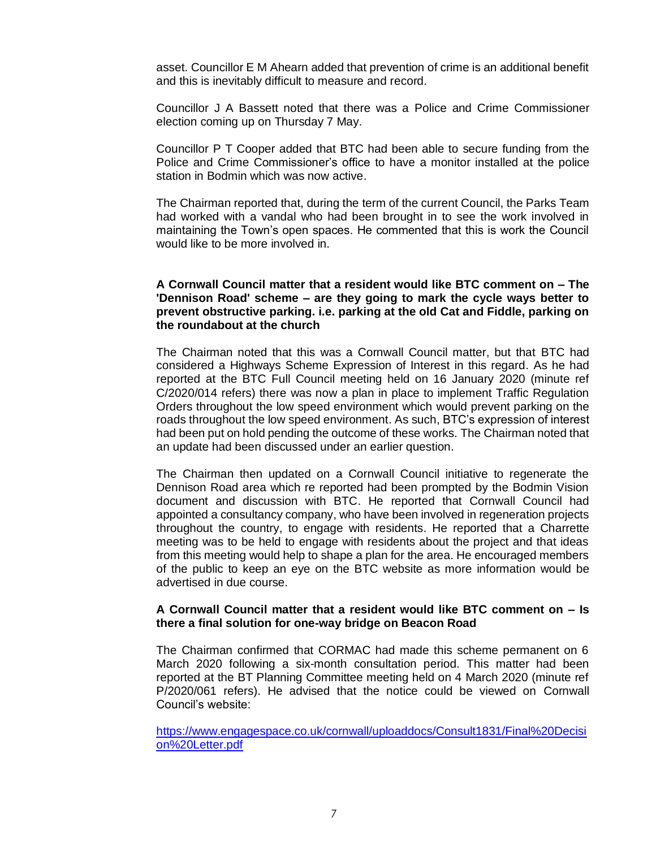asset. Councillor E M Ahearn added that prevention of crime is an additional benefit and this is inevitably difficult to measure and record.

Councillor J A Bassett noted that there was a Police and Crime Commissioner election coming up on Thursday 7 May.

Councillor P T Cooper added that BTC had been able to secure funding from the Police and Crime Commissioner's office to have a monitor installed at the police station in Bodmin which was now active.

The Chairman reported that, during the term of the current Council, the Parks Team had worked with a vandal who had been brought in to see the work involved in maintaining the Town's open spaces. He commented that this is work the Council would like to be more involved in.

## **A Cornwall Council matter that a resident would like BTC comment on – The 'Dennison Road' scheme – are they going to mark the cycle ways better to prevent obstructive parking. i.e. parking at the old Cat and Fiddle, parking on the roundabout at the church**

The Chairman noted that this was a Cornwall Council matter, but that BTC had considered a Highways Scheme Expression of Interest in this regard. As he had reported at the BTC Full Council meeting held on 16 January 2020 (minute ref C/2020/014 refers) there was now a plan in place to implement Traffic Regulation Orders throughout the low speed environment which would prevent parking on the roads throughout the low speed environment. As such, BTC's expression of interest had been put on hold pending the outcome of these works. The Chairman noted that an update had been discussed under an earlier question.

The Chairman then updated on a Cornwall Council initiative to regenerate the Dennison Road area which re reported had been prompted by the Bodmin Vision document and discussion with BTC. He reported that Cornwall Council had appointed a consultancy company, who have been involved in regeneration projects throughout the country, to engage with residents. He reported that a Charrette meeting was to be held to engage with residents about the project and that ideas from this meeting would help to shape a plan for the area. He encouraged members of the public to keep an eye on the BTC website as more information would be advertised in due course.

### **A Cornwall Council matter that a resident would like BTC comment on – Is there a final solution for one-way bridge on Beacon Road**

The Chairman confirmed that CORMAC had made this scheme permanent on 6 March 2020 following a six-month consultation period. This matter had been reported at the BT Planning Committee meeting held on 4 March 2020 (minute ref P/2020/061 refers). He advised that the notice could be viewed on Cornwall Council's website:

[https://www.engagespace.co.uk/cornwall/uploaddocs/Consult1831/Final%20Decisi](https://www.engagespace.co.uk/cornwall/uploaddocs/Consult1831/Final%20Decision%20Letter.pdf) [on%20Letter.pdf](https://www.engagespace.co.uk/cornwall/uploaddocs/Consult1831/Final%20Decision%20Letter.pdf)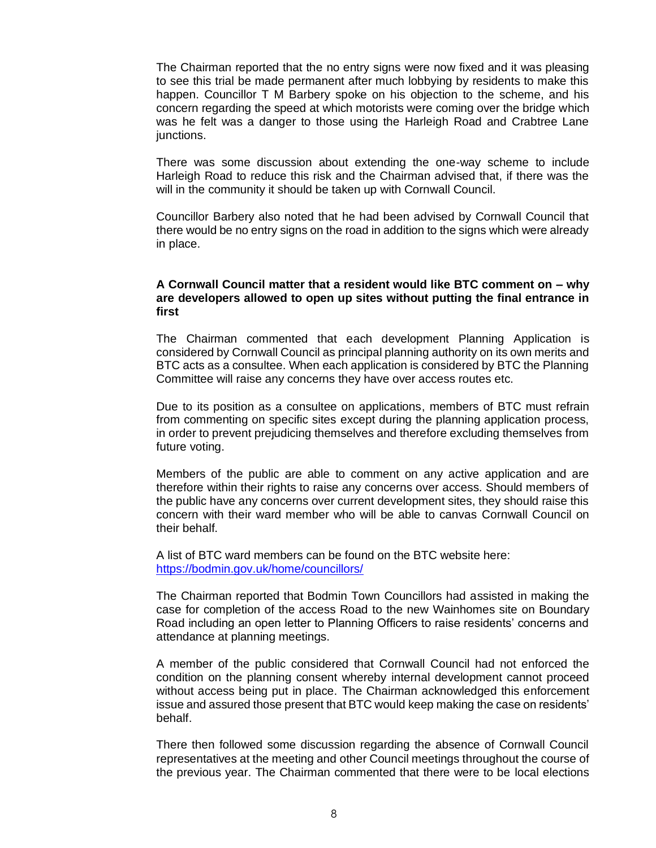The Chairman reported that the no entry signs were now fixed and it was pleasing to see this trial be made permanent after much lobbying by residents to make this happen. Councillor T M Barbery spoke on his objection to the scheme, and his concern regarding the speed at which motorists were coming over the bridge which was he felt was a danger to those using the Harleigh Road and Crabtree Lane junctions.

There was some discussion about extending the one-way scheme to include Harleigh Road to reduce this risk and the Chairman advised that, if there was the will in the community it should be taken up with Cornwall Council.

Councillor Barbery also noted that he had been advised by Cornwall Council that there would be no entry signs on the road in addition to the signs which were already in place.

## **A Cornwall Council matter that a resident would like BTC comment on – why are developers allowed to open up sites without putting the final entrance in first**

The Chairman commented that each development Planning Application is considered by Cornwall Council as principal planning authority on its own merits and BTC acts as a consultee. When each application is considered by BTC the Planning Committee will raise any concerns they have over access routes etc.

Due to its position as a consultee on applications, members of BTC must refrain from commenting on specific sites except during the planning application process, in order to prevent prejudicing themselves and therefore excluding themselves from future voting.

Members of the public are able to comment on any active application and are therefore within their rights to raise any concerns over access. Should members of the public have any concerns over current development sites, they should raise this concern with their ward member who will be able to canvas Cornwall Council on their behalf.

A list of BTC ward members can be found on the BTC website here: <https://bodmin.gov.uk/home/councillors/>

The Chairman reported that Bodmin Town Councillors had assisted in making the case for completion of the access Road to the new Wainhomes site on Boundary Road including an open letter to Planning Officers to raise residents' concerns and attendance at planning meetings.

A member of the public considered that Cornwall Council had not enforced the condition on the planning consent whereby internal development cannot proceed without access being put in place. The Chairman acknowledged this enforcement issue and assured those present that BTC would keep making the case on residents' behalf.

There then followed some discussion regarding the absence of Cornwall Council representatives at the meeting and other Council meetings throughout the course of the previous year. The Chairman commented that there were to be local elections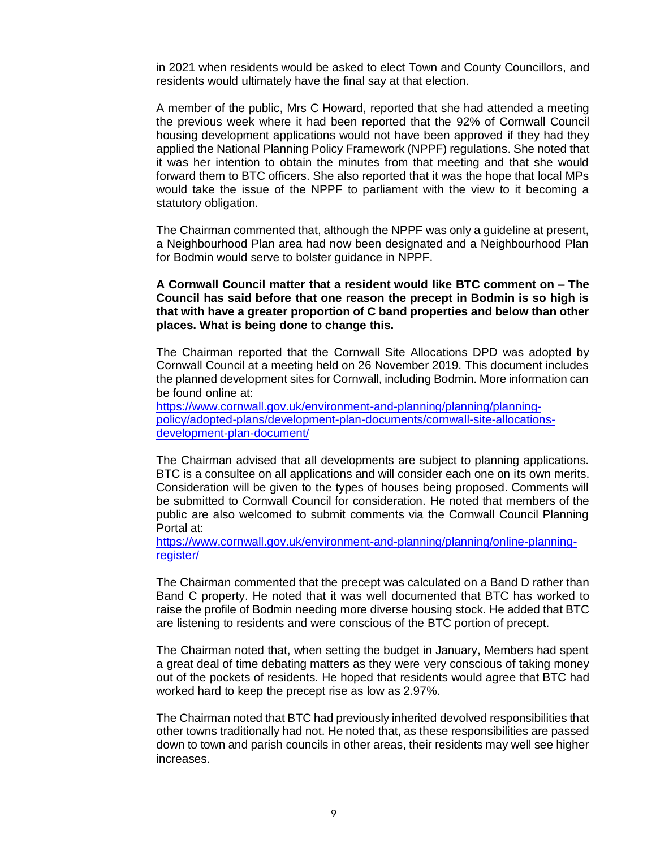in 2021 when residents would be asked to elect Town and County Councillors, and residents would ultimately have the final say at that election.

A member of the public, Mrs C Howard, reported that she had attended a meeting the previous week where it had been reported that the 92% of Cornwall Council housing development applications would not have been approved if they had they applied the National Planning Policy Framework (NPPF) regulations. She noted that it was her intention to obtain the minutes from that meeting and that she would forward them to BTC officers. She also reported that it was the hope that local MPs would take the issue of the NPPF to parliament with the view to it becoming a statutory obligation.

The Chairman commented that, although the NPPF was only a guideline at present, a Neighbourhood Plan area had now been designated and a Neighbourhood Plan for Bodmin would serve to bolster guidance in NPPF.

## **A Cornwall Council matter that a resident would like BTC comment on – The Council has said before that one reason the precept in Bodmin is so high is that with have a greater proportion of C band properties and below than other places. What is being done to change this.**

The Chairman reported that the Cornwall Site Allocations DPD was adopted by Cornwall Council at a meeting held on 26 November 2019. This document includes the planned development sites for Cornwall, including Bodmin. More information can be found online at:

[https://www.cornwall.gov.uk/environment-and-planning/planning/planning](https://www.cornwall.gov.uk/environment-and-planning/planning/planning-policy/adopted-plans/development-plan-documents/cornwall-site-allocations-development-plan-document/)[policy/adopted-plans/development-plan-documents/cornwall-site-allocations](https://www.cornwall.gov.uk/environment-and-planning/planning/planning-policy/adopted-plans/development-plan-documents/cornwall-site-allocations-development-plan-document/)[development-plan-document/](https://www.cornwall.gov.uk/environment-and-planning/planning/planning-policy/adopted-plans/development-plan-documents/cornwall-site-allocations-development-plan-document/)

The Chairman advised that all developments are subject to planning applications. BTC is a consultee on all applications and will consider each one on its own merits. Consideration will be given to the types of houses being proposed. Comments will be submitted to Cornwall Council for consideration. He noted that members of the public are also welcomed to submit comments via the Cornwall Council Planning Portal at:

[https://www.cornwall.gov.uk/environment-and-planning/planning/online-planning](https://www.cornwall.gov.uk/environment-and-planning/planning/online-planning-register/)[register/](https://www.cornwall.gov.uk/environment-and-planning/planning/online-planning-register/)

The Chairman commented that the precept was calculated on a Band D rather than Band C property. He noted that it was well documented that BTC has worked to raise the profile of Bodmin needing more diverse housing stock. He added that BTC are listening to residents and were conscious of the BTC portion of precept.

The Chairman noted that, when setting the budget in January, Members had spent a great deal of time debating matters as they were very conscious of taking money out of the pockets of residents. He hoped that residents would agree that BTC had worked hard to keep the precept rise as low as 2.97%.

The Chairman noted that BTC had previously inherited devolved responsibilities that other towns traditionally had not. He noted that, as these responsibilities are passed down to town and parish councils in other areas, their residents may well see higher increases.